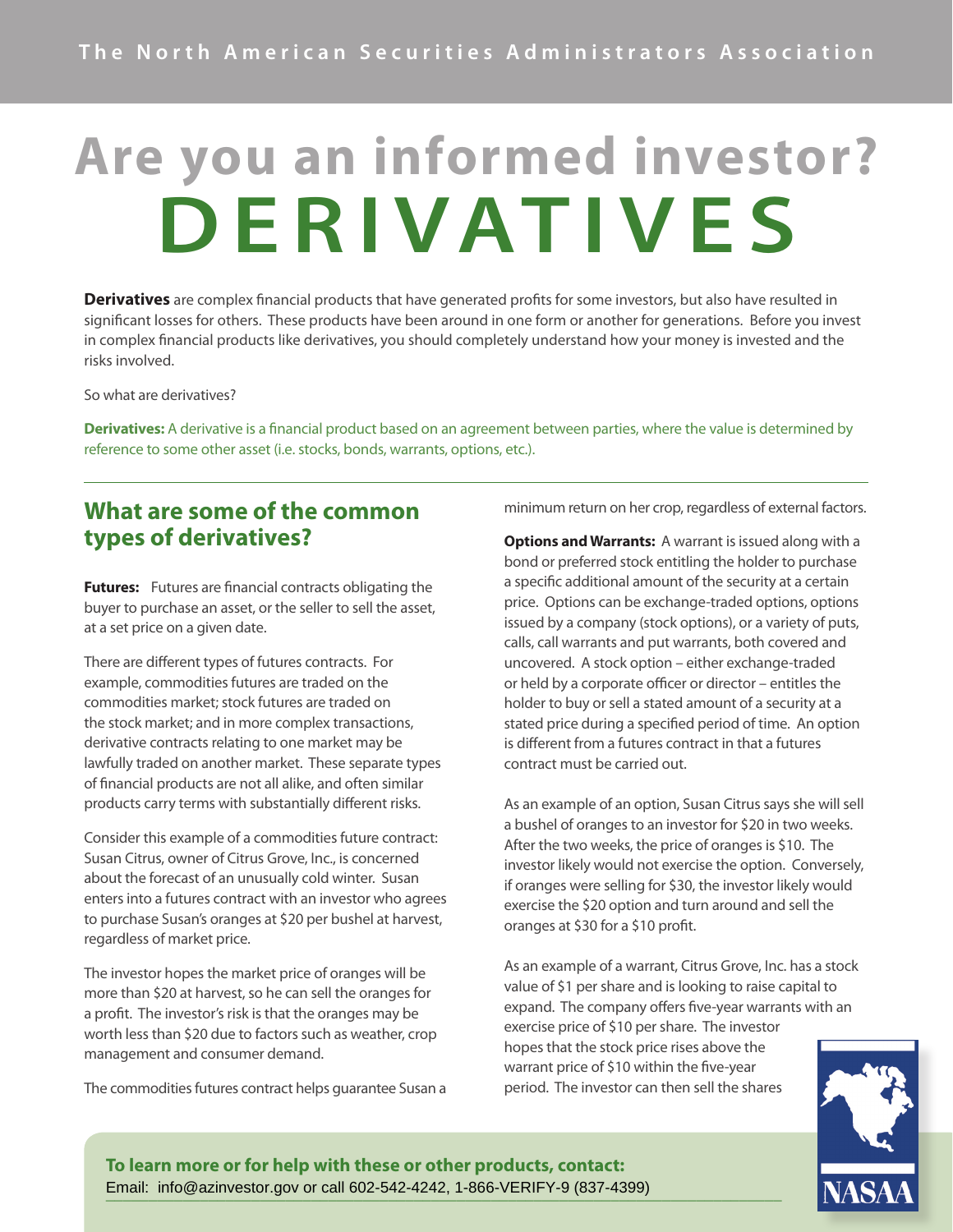## **Are you an informed investor? DERIVATIVES**

**Derivatives** are complex financial products that have generated profits for some investors, but also have resulted in significant losses for others. These products have been around in one form or another for generations. Before you invest in complex financial products like derivatives, you should completely understand how your money is invested and the risks involved.

So what are derivatives?

**Derivatives:** A derivative is a financial product based on an agreement between parties, where the value is determined by reference to some other asset (i.e. stocks, bonds, warrants, options, etc.).

## **What are some of the common types of derivatives?**

**Futures:** Futures are financial contracts obligating the buyer to purchase an asset, or the seller to sell the asset, at a set price on a given date.

There are different types of futures contracts. For example, commodities futures are traded on the commodities market; stock futures are traded on the stock market; and in more complex transactions, derivative contracts relating to one market may be lawfully traded on another market. These separate types of financial products are not all alike, and often similar products carry terms with substantially different risks.

Consider this example of a commodities future contract: Susan Citrus, owner of Citrus Grove, Inc., is concerned about the forecast of an unusually cold winter. Susan enters into a futures contract with an investor who agrees to purchase Susan's oranges at \$20 per bushel at harvest, regardless of market price.

The investor hopes the market price of oranges will be more than \$20 at harvest, so he can sell the oranges for a profit. The investor's risk is that the oranges may be worth less than \$20 due to factors such as weather, crop management and consumer demand.

The commodities futures contract helps guarantee Susan a

minimum return on her crop, regardless of external factors.

**Options and Warrants:** A warrant is issued along with a bond or preferred stock entitling the holder to purchase a specific additional amount of the security at a certain price. Options can be exchange-traded options, options issued by a company (stock options), or a variety of puts, calls, call warrants and put warrants, both covered and uncovered. A stock option – either exchange-traded or held by a corporate officer or director – entitles the holder to buy or sell a stated amount of a security at a stated price during a specified period of time. An option is different from a futures contract in that a futures contract must be carried out.

As an example of an option, Susan Citrus says she will sell a bushel of oranges to an investor for \$20 in two weeks. After the two weeks, the price of oranges is \$10. The investor likely would not exercise the option. Conversely, if oranges were selling for \$30, the investor likely would exercise the \$20 option and turn around and sell the oranges at \$30 for a \$10 profit.

As an example of a warrant, Citrus Grove, Inc. has a stock value of \$1 per share and is looking to raise capital to expand. The company offers five-year warrants with an exercise price of \$10 per share. The investor hopes that the stock price rises above the warrant price of \$10 within the five-year period. The investor can then sell the shares



**To learn more or for help with these or other products, contact: \_\_\_\_\_\_\_\_\_\_\_\_\_\_\_\_\_\_\_\_\_\_\_\_\_\_\_\_\_\_\_\_\_\_\_\_\_\_\_\_\_\_\_\_\_\_\_\_\_\_\_\_\_\_\_\_\_\_\_\_\_\_\_\_\_\_\_\_\_\_\_\_\_\_\_\_\_\_\_** Email: info@azinvestor.gov or call 602-542-4242, 1-866-VERIFY-9 (837-4399)